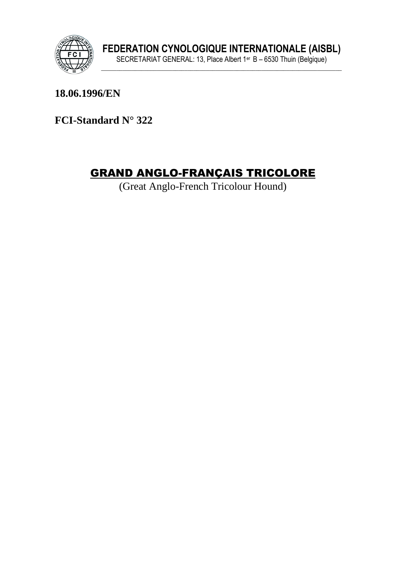

18.06.1996/EN

FCI-Standard N° 322

# **GRAND ANGLO-FRANÇAIS TRICOLORE**

(Great Anglo-French Tricolour Hound)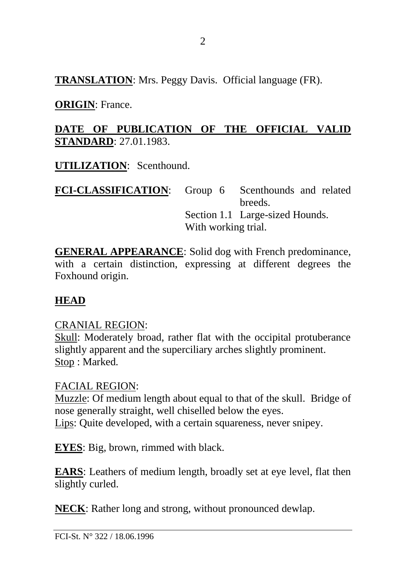**TRANSLATION**: Mrs. Peggy Davis. Official language (FR).

**ORIGIN**: France.

### **DATE OF PUBLICATION OF THE OFFICIAL VALID STANDARD**: 27.01.1983.

**UTILIZATION**: Scenthound.

FCI-CLASSIFICATION: Group 6 Scenthounds and related breeds. Section 1.1 Large-sized Hounds. With working trial.

**GENERAL APPEARANCE**: Solid dog with French predominance, with a certain distinction, expressing at different degrees the Foxhound origin.

### **HEAD**

#### CRANIAL REGION:

Skull: Moderately broad, rather flat with the occipital protuberance slightly apparent and the superciliary arches slightly prominent. Stop : Marked.

#### FACIAL REGION:

Muzzle: Of medium length about equal to that of the skull. Bridge of nose generally straight, well chiselled below the eyes. Lips: Quite developed, with a certain squareness, never snipey.

**EYES**: Big, brown, rimmed with black.

**EARS**: Leathers of medium length, broadly set at eye level, flat then slightly curled.

**NECK**: Rather long and strong, without pronounced dewlap.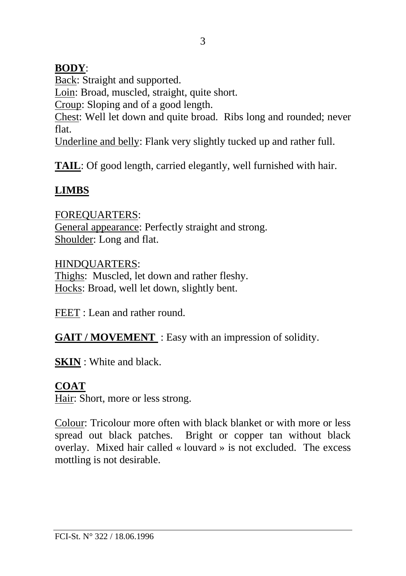### **BODY**:

Back: Straight and supported.

Loin: Broad, muscled, straight, quite short.

Croup: Sloping and of a good length.

Chest: Well let down and quite broad. Ribs long and rounded; never flat.

Underline and belly: Flank very slightly tucked up and rather full.

**TAIL:** Of good length, carried elegantly, well furnished with hair.

# **LIMBS**

FOREQUARTERS: General appearance: Perfectly straight and strong. Shoulder: Long and flat.

HINDQUARTERS: Thighs: Muscled, let down and rather fleshy. Hocks: Broad, well let down, slightly bent.

FEET : Lean and rather round.

**GAIT / MOVEMENT** : Easy with an impression of solidity.

**SKIN** : White and black.

# **COAT**

Hair: Short, more or less strong.

Colour: Tricolour more often with black blanket or with more or less spread out black patches. Bright or copper tan without black overlay. Mixed hair called « louvard » is not excluded. The excess mottling is not desirable.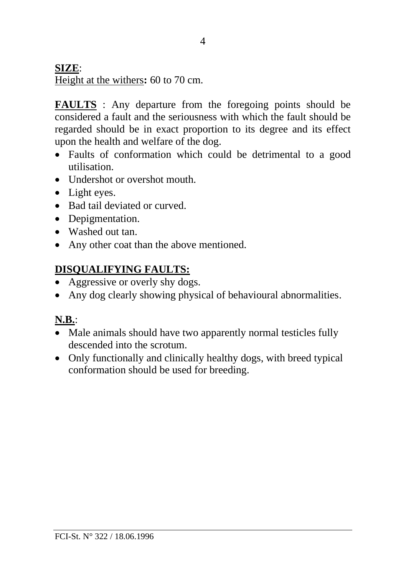### **SIZE**:

Height at the withers**:** 60 to 70 cm.

**FAULTS** : Any departure from the foregoing points should be considered a fault and the seriousness with which the fault should be regarded should be in exact proportion to its degree and its effect upon the health and welfare of the dog.

- Faults of conformation which could be detrimental to a good utilisation.
- Undershot or overshot mouth.
- Light eyes.
- Bad tail deviated or curved.
- Depigmentation.
- Washed out tan
- Any other coat than the above mentioned.

## **DISQUALIFYING FAULTS:**

- Aggressive or overly shy dogs.
- Any dog clearly showing physical of behavioural abnormalities.

## **N.B.**:

- Male animals should have two apparently normal testicles fully descended into the scrotum.
- Only functionally and clinically healthy dogs, with breed typical conformation should be used for breeding.